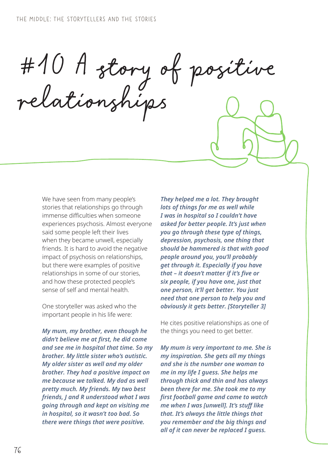#10 A story of positive relationships

We have seen from many people's stories that relationships go through immense difficulties when someone experiences psychosis. Almost everyone said some people left their lives when they became unwell, especially friends. It is hard to avoid the negative impact of psychosis on relationships, but there were examples of positive relationships in some of our stories, and how these protected people's sense of self and mental health.

One storyteller was asked who the important people in his life were:

*My mum, my brother, even though he didn't believe me at first, he did come and see me in hospital that time. So my brother. My little sister who's autistic. My older sister as well and my older brother. They had a positive impact on me because we talked. My dad as well pretty much. My friends. My two best friends, J and R understood what I was going through and kept on visiting me in hospital, so it wasn't too bad. So there were things that were positive.* 

*They helped me a lot. They brought lots of things for me as well while I was in hospital so I couldn't have asked for better people. It's just when you go through these type of things, depression, psychosis, one thing that should be hammered is that with good people around you, you'll probably get through it. Especially if you have that – it doesn't matter if it's five or six people, if you have one, just that one person, it'll get better. You just need that one person to help you and obviously it gets better. [Storyteller 3]*

He cites positive relationships as one of the things you need to get better.

*My mum is very important to me. She is my inspiration. She gets all my things and she is the number one woman to me in my life I guess. She helps me through thick and thin and has always been there for me. She took me to my first football game and came to watch me when I was [unwell]. It's stuff like that. It's always the little things that you remember and the big things and all of it can never be replaced I guess.*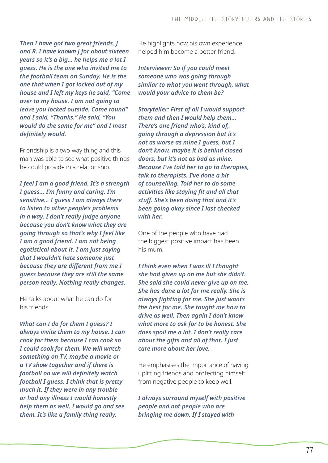*Then I have got two great friends, J and R. I have known J for about sixteen years so it's a big… he helps me a lot I guess. He is the one who invited me to the football team on Sunday. He is the one that when I got locked out of my house and I left my keys he said, "Come over to my house. I am not going to leave you locked outside. Come round" and I said, "Thanks." He said, "You would do the same for me" and I most definitely would.*

Friendship is a two-way thing and this man was able to see what positive things he could provide in a relationship.

*I feel I am a good friend. It's a strength I guess… I'm funny and caring. I'm sensitive… I guess I am always there to listen to other people's problems in a way. I don't really judge anyone because you don't know what they are going through so that's why I feel like I am a good friend. I am not being egotistical about it. I am just saying that I wouldn't hate someone just because they are different from me I guess because they are still the same person really. Nothing really changes.*

He talks about what he can do for his friends:

*What can I do for them I guess? I always invite them to my house. I can cook for them because I can cook so I could cook for them. We will watch something on TV, maybe a movie or a TV show together and if there is football on we will definitely watch football I guess. I think that is pretty much it. If they were in any trouble or had any illness I would honestly help them as well. I would go and see them. It's like a family thing really.*

He highlights how his own experience helped him become a better friend.

*Interviewer: So if you could meet someone who was going through similar to what you went through, what would your advice to them be?*

*Storyteller: First of all I would support them and then I would help them… There's one friend who's, kind of, going through a depression but it's not as worse as mine I guess, but I don't know, maybe it is behind closed doors, but it's not as bad as mine. Because I've told her to go to therapies, talk to therapists. I've done a bit of counselling. Told her to do some activities like staying fit and all that stuff. She's been doing that and it's been going okay since I last checked with her.*

One of the people who have had the biggest positive impact has been his mum.

*I think even when I was ill I thought she had given up on me but she didn't. She said she could never give up on me. She has done a lot for me really. She is always fighting for me. She just wants the best for me. She taught me how to drive as well. Then again I don't know what more to ask for to be honest. She does spoil me a lot. I don't really care about the gifts and all of that. I just care more about her love.*

He emphasises the importance of having uplifting friends and protecting himself from negative people to keep well.

*I always surround myself with positive people and not people who are bringing me down. If I stayed with*